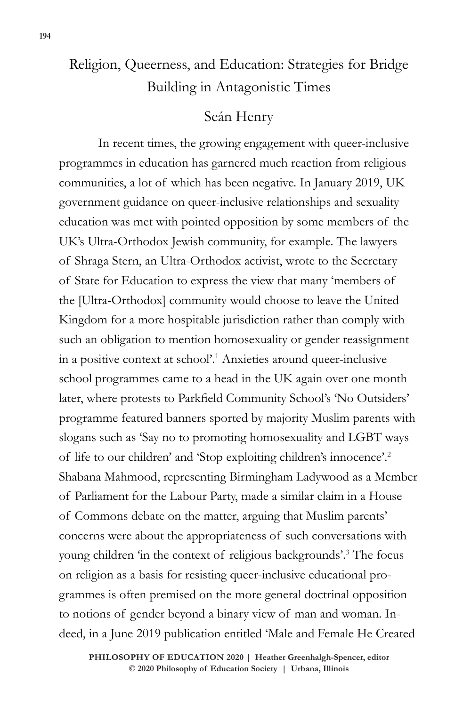# Religion, Queerness, and Education: Strategies for Bridge Building in Antagonistic Times

### Seán Henry

In recent times, the growing engagement with queer-inclusive programmes in education has garnered much reaction from religious communities, a lot of which has been negative. In January 2019, UK government guidance on queer-inclusive relationships and sexuality education was met with pointed opposition by some members of the UK's Ultra-Orthodox Jewish community, for example. The lawyers of Shraga Stern, an Ultra-Orthodox activist, wrote to the Secretary of State for Education to express the view that many 'members of the [Ultra-Orthodox] community would choose to leave the United Kingdom for a more hospitable jurisdiction rather than comply with such an obligation to mention homosexuality or gender reassignment in a positive context at school'.1 Anxieties around queer-inclusive school programmes came to a head in the UK again over one month later, where protests to Parkfield Community School's 'No Outsiders' programme featured banners sported by majority Muslim parents with slogans such as 'Say no to promoting homosexuality and LGBT ways of life to our children' and 'Stop exploiting children's innocence'.2 Shabana Mahmood, representing Birmingham Ladywood as a Member of Parliament for the Labour Party, made a similar claim in a House of Commons debate on the matter, arguing that Muslim parents' concerns were about the appropriateness of such conversations with young children 'in the context of religious backgrounds'.3 The focus on religion as a basis for resisting queer-inclusive educational programmes is often premised on the more general doctrinal opposition to notions of gender beyond a binary view of man and woman. Indeed, in a June 2019 publication entitled 'Male and Female He Created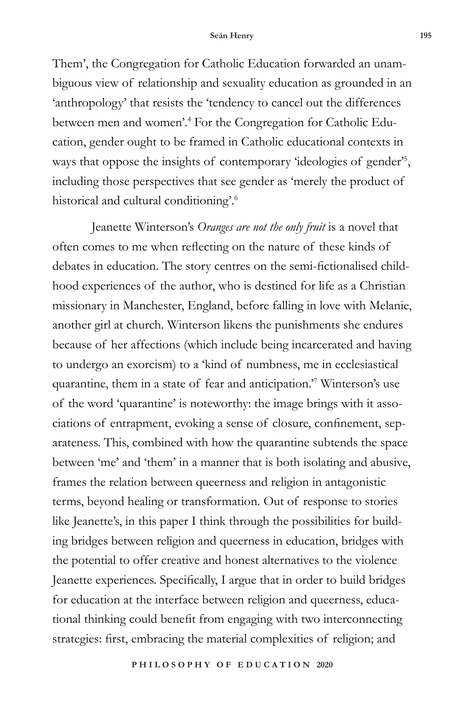Them', the Congregation for Catholic Education forwarded an unambiguous view of relationship and sexuality education as grounded in an 'anthropology' that resists the 'tendency to cancel out the differences between men and women'.4 For the Congregation for Catholic Education, gender ought to be framed in Catholic educational contexts in ways that oppose the insights of contemporary 'ideologies of gender'<sup>5</sup>, including those perspectives that see gender as 'merely the product of historical and cultural conditioning'.6

Jeanette Winterson's *Oranges are not the only fruit* is a novel that often comes to me when reflecting on the nature of these kinds of debates in education. The story centres on the semi-fictionalised childhood experiences of the author, who is destined for life as a Christian missionary in Manchester, England, before falling in love with Melanie, another girl at church. Winterson likens the punishments she endures because of her affections (which include being incarcerated and having to undergo an exorcism) to a 'kind of numbness, me in ecclesiastical quarantine, them in a state of fear and anticipation.'7 Winterson's use of the word 'quarantine' is noteworthy: the image brings with it associations of entrapment, evoking a sense of closure, confinement, separateness. This, combined with how the quarantine subtends the space between 'me' and 'them' in a manner that is both isolating and abusive, frames the relation between queerness and religion in antagonistic terms, beyond healing or transformation. Out of response to stories like Jeanette's, in this paper I think through the possibilities for building bridges between religion and queerness in education, bridges with the potential to offer creative and honest alternatives to the violence Jeanette experiences. Specifically, I argue that in order to build bridges for education at the interface between religion and queerness, educational thinking could benefit from engaging with two interconnecting strategies: first, embracing the material complexities of religion; and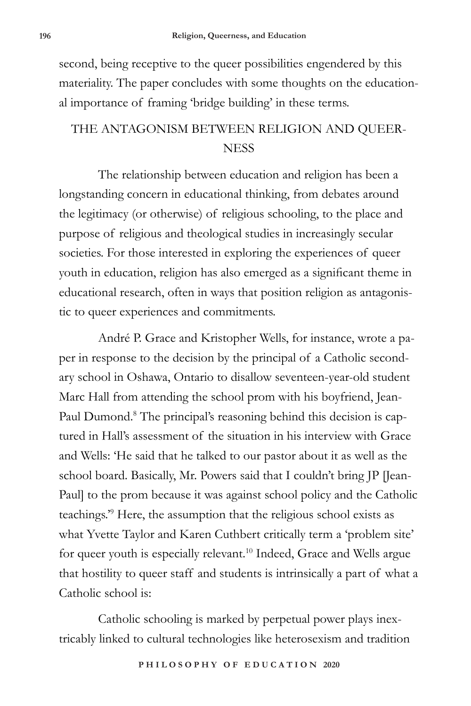second, being receptive to the queer possibilities engendered by this materiality. The paper concludes with some thoughts on the educational importance of framing 'bridge building' in these terms.

## THE ANTAGONISM BETWEEN RELIGION AND QUEER-**NESS**

The relationship between education and religion has been a longstanding concern in educational thinking, from debates around the legitimacy (or otherwise) of religious schooling, to the place and purpose of religious and theological studies in increasingly secular societies. For those interested in exploring the experiences of queer youth in education, religion has also emerged as a significant theme in educational research, often in ways that position religion as antagonistic to queer experiences and commitments.

André P. Grace and Kristopher Wells, for instance, wrote a paper in response to the decision by the principal of a Catholic secondary school in Oshawa, Ontario to disallow seventeen-year-old student Marc Hall from attending the school prom with his boyfriend, Jean-Paul Dumond.<sup>8</sup> The principal's reasoning behind this decision is captured in Hall's assessment of the situation in his interview with Grace and Wells: 'He said that he talked to our pastor about it as well as the school board. Basically, Mr. Powers said that I couldn't bring JP [Jean-Paul] to the prom because it was against school policy and the Catholic teachings.'9 Here, the assumption that the religious school exists as what Yvette Taylor and Karen Cuthbert critically term a 'problem site' for queer youth is especially relevant.<sup>10</sup> Indeed, Grace and Wells argue that hostility to queer staff and students is intrinsically a part of what a Catholic school is:

Catholic schooling is marked by perpetual power plays inextricably linked to cultural technologies like heterosexism and tradition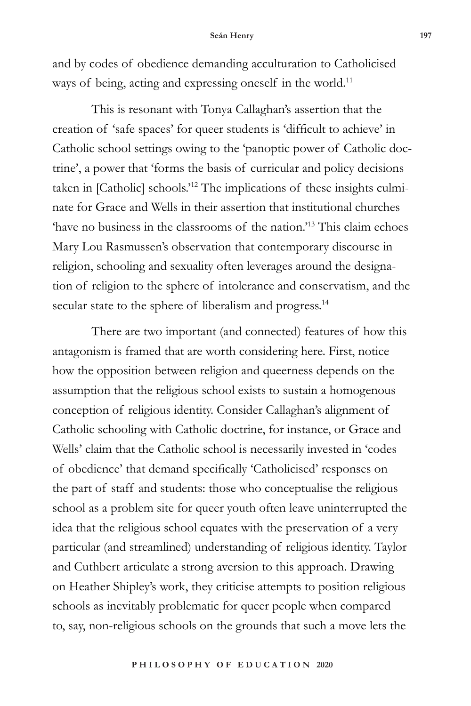#### **Seán Henry 197**

and by codes of obedience demanding acculturation to Catholicised ways of being, acting and expressing oneself in the world.<sup>11</sup>

This is resonant with Tonya Callaghan's assertion that the creation of 'safe spaces' for queer students is 'difficult to achieve' in Catholic school settings owing to the 'panoptic power of Catholic doctrine', a power that 'forms the basis of curricular and policy decisions taken in [Catholic] schools.'12 The implications of these insights culminate for Grace and Wells in their assertion that institutional churches 'have no business in the classrooms of the nation.'13 This claim echoes Mary Lou Rasmussen's observation that contemporary discourse in religion, schooling and sexuality often leverages around the designation of religion to the sphere of intolerance and conservatism, and the secular state to the sphere of liberalism and progress.<sup>14</sup>

There are two important (and connected) features of how this antagonism is framed that are worth considering here. First, notice how the opposition between religion and queerness depends on the assumption that the religious school exists to sustain a homogenous conception of religious identity. Consider Callaghan's alignment of Catholic schooling with Catholic doctrine, for instance, or Grace and Wells' claim that the Catholic school is necessarily invested in 'codes of obedience' that demand specifically 'Catholicised' responses on the part of staff and students: those who conceptualise the religious school as a problem site for queer youth often leave uninterrupted the idea that the religious school equates with the preservation of a very particular (and streamlined) understanding of religious identity. Taylor and Cuthbert articulate a strong aversion to this approach. Drawing on Heather Shipley's work, they criticise attempts to position religious schools as inevitably problematic for queer people when compared to, say, non-religious schools on the grounds that such a move lets the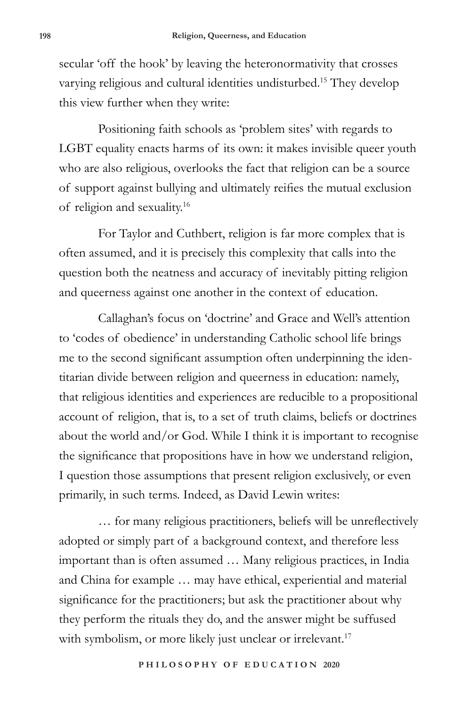secular 'off the hook' by leaving the heteronormativity that crosses varying religious and cultural identities undisturbed.15 They develop this view further when they write:

Positioning faith schools as 'problem sites' with regards to LGBT equality enacts harms of its own: it makes invisible queer youth who are also religious, overlooks the fact that religion can be a source of support against bullying and ultimately reifies the mutual exclusion of religion and sexuality.16

For Taylor and Cuthbert, religion is far more complex that is often assumed, and it is precisely this complexity that calls into the question both the neatness and accuracy of inevitably pitting religion and queerness against one another in the context of education.

Callaghan's focus on 'doctrine' and Grace and Well's attention to 'codes of obedience' in understanding Catholic school life brings me to the second significant assumption often underpinning the identitarian divide between religion and queerness in education: namely, that religious identities and experiences are reducible to a propositional account of religion, that is, to a set of truth claims, beliefs or doctrines about the world and/or God. While I think it is important to recognise the significance that propositions have in how we understand religion, I question those assumptions that present religion exclusively, or even primarily, in such terms. Indeed, as David Lewin writes:

… for many religious practitioners, beliefs will be unreflectively adopted or simply part of a background context, and therefore less important than is often assumed … Many religious practices, in India and China for example … may have ethical, experiential and material significance for the practitioners; but ask the practitioner about why they perform the rituals they do, and the answer might be suffused with symbolism, or more likely just unclear or irrelevant.<sup>17</sup>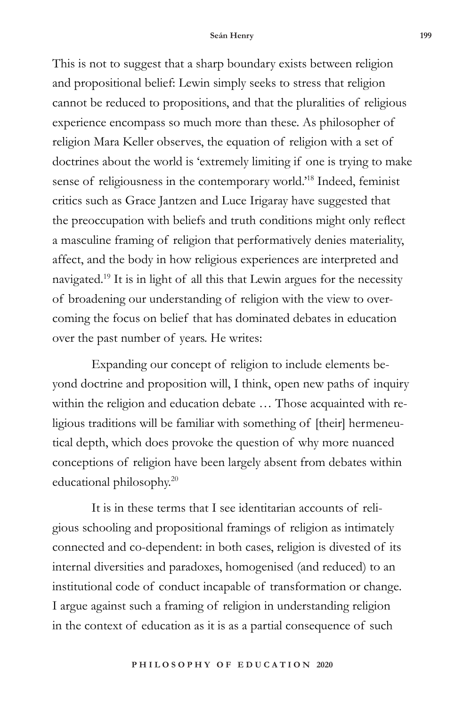This is not to suggest that a sharp boundary exists between religion and propositional belief: Lewin simply seeks to stress that religion cannot be reduced to propositions, and that the pluralities of religious experience encompass so much more than these. As philosopher of religion Mara Keller observes, the equation of religion with a set of doctrines about the world is 'extremely limiting if one is trying to make sense of religiousness in the contemporary world.'18 Indeed, feminist critics such as Grace Jantzen and Luce Irigaray have suggested that the preoccupation with beliefs and truth conditions might only reflect a masculine framing of religion that performatively denies materiality, affect, and the body in how religious experiences are interpreted and navigated.19 It is in light of all this that Lewin argues for the necessity of broadening our understanding of religion with the view to overcoming the focus on belief that has dominated debates in education over the past number of years. He writes:

Expanding our concept of religion to include elements beyond doctrine and proposition will, I think, open new paths of inquiry within the religion and education debate … Those acquainted with religious traditions will be familiar with something of [their] hermeneutical depth, which does provoke the question of why more nuanced conceptions of religion have been largely absent from debates within educational philosophy.20

It is in these terms that I see identitarian accounts of religious schooling and propositional framings of religion as intimately connected and co-dependent: in both cases, religion is divested of its internal diversities and paradoxes, homogenised (and reduced) to an institutional code of conduct incapable of transformation or change. I argue against such a framing of religion in understanding religion in the context of education as it is as a partial consequence of such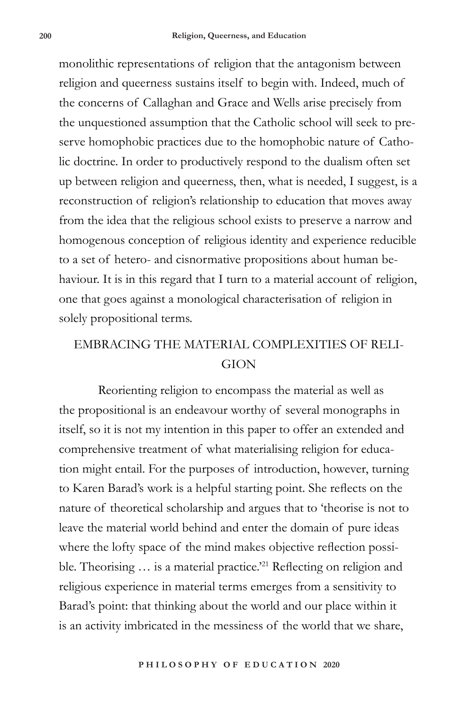monolithic representations of religion that the antagonism between religion and queerness sustains itself to begin with. Indeed, much of the concerns of Callaghan and Grace and Wells arise precisely from the unquestioned assumption that the Catholic school will seek to preserve homophobic practices due to the homophobic nature of Catholic doctrine. In order to productively respond to the dualism often set up between religion and queerness, then, what is needed, I suggest, is a reconstruction of religion's relationship to education that moves away from the idea that the religious school exists to preserve a narrow and homogenous conception of religious identity and experience reducible to a set of hetero- and cisnormative propositions about human behaviour. It is in this regard that I turn to a material account of religion, one that goes against a monological characterisation of religion in solely propositional terms.

### EMBRACING THE MATERIAL COMPLEXITIES OF RELI-**GION**

Reorienting religion to encompass the material as well as the propositional is an endeavour worthy of several monographs in itself, so it is not my intention in this paper to offer an extended and comprehensive treatment of what materialising religion for education might entail. For the purposes of introduction, however, turning to Karen Barad's work is a helpful starting point. She reflects on the nature of theoretical scholarship and argues that to 'theorise is not to leave the material world behind and enter the domain of pure ideas where the lofty space of the mind makes objective reflection possible. Theorising ... is a material practice.<sup>221</sup> Reflecting on religion and religious experience in material terms emerges from a sensitivity to Barad's point: that thinking about the world and our place within it is an activity imbricated in the messiness of the world that we share,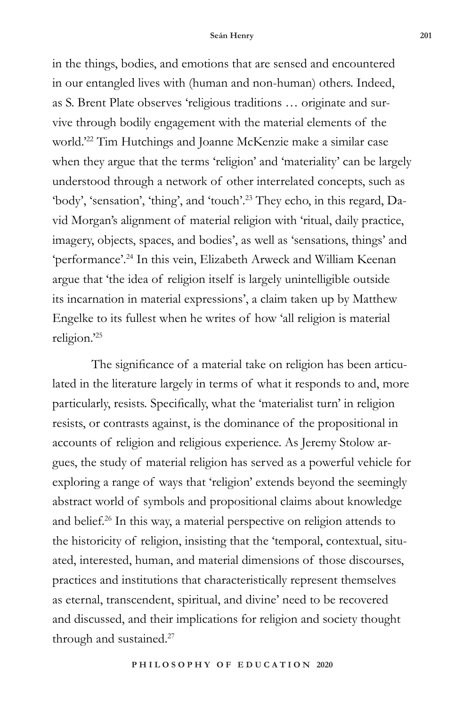in the things, bodies, and emotions that are sensed and encountered in our entangled lives with (human and non-human) others. Indeed, as S. Brent Plate observes 'religious traditions … originate and survive through bodily engagement with the material elements of the world.'22 Tim Hutchings and Joanne McKenzie make a similar case when they argue that the terms 'religion' and 'materiality' can be largely understood through a network of other interrelated concepts, such as 'body', 'sensation', 'thing', and 'touch'.23 They echo, in this regard, David Morgan's alignment of material religion with 'ritual, daily practice, imagery, objects, spaces, and bodies', as well as 'sensations, things' and 'performance'.24 In this vein, Elizabeth Arweck and William Keenan argue that 'the idea of religion itself is largely unintelligible outside its incarnation in material expressions', a claim taken up by Matthew Engelke to its fullest when he writes of how 'all religion is material religion.'25

The significance of a material take on religion has been articulated in the literature largely in terms of what it responds to and, more particularly, resists. Specifically, what the 'materialist turn' in religion resists, or contrasts against, is the dominance of the propositional in accounts of religion and religious experience. As Jeremy Stolow argues, the study of material religion has served as a powerful vehicle for exploring a range of ways that 'religion' extends beyond the seemingly abstract world of symbols and propositional claims about knowledge and belief.26 In this way, a material perspective on religion attends to the historicity of religion, insisting that the 'temporal, contextual, situated, interested, human, and material dimensions of those discourses, practices and institutions that characteristically represent themselves as eternal, transcendent, spiritual, and divine' need to be recovered and discussed, and their implications for religion and society thought through and sustained.<sup>27</sup>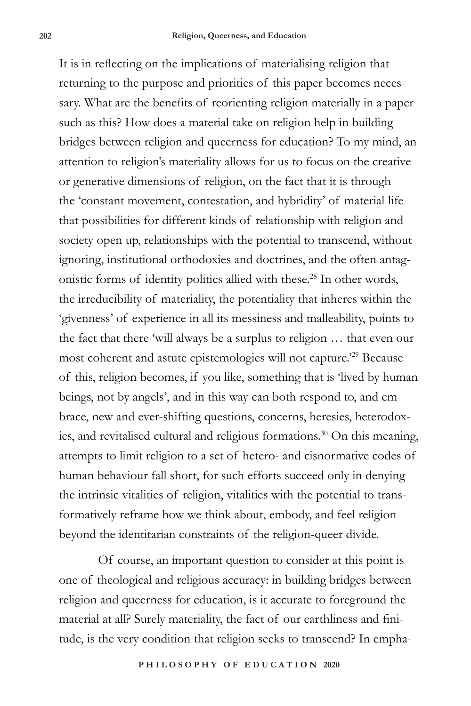It is in reflecting on the implications of materialising religion that returning to the purpose and priorities of this paper becomes necessary. What are the benefits of reorienting religion materially in a paper such as this? How does a material take on religion help in building bridges between religion and queerness for education? To my mind, an attention to religion's materiality allows for us to focus on the creative or generative dimensions of religion, on the fact that it is through the 'constant movement, contestation, and hybridity' of material life that possibilities for different kinds of relationship with religion and society open up, relationships with the potential to transcend, without ignoring, institutional orthodoxies and doctrines, and the often antagonistic forms of identity politics allied with these.28 In other words, the irreducibility of materiality, the potentiality that inheres within the 'givenness' of experience in all its messiness and malleability, points to the fact that there 'will always be a surplus to religion … that even our most coherent and astute epistemologies will not capture.'29 Because of this, religion becomes, if you like, something that is 'lived by human beings, not by angels', and in this way can both respond to, and embrace, new and ever-shifting questions, concerns, heresies, heterodoxies, and revitalised cultural and religious formations.30 On this meaning, attempts to limit religion to a set of hetero- and cisnormative codes of human behaviour fall short, for such efforts succeed only in denying the intrinsic vitalities of religion, vitalities with the potential to transformatively reframe how we think about, embody, and feel religion beyond the identitarian constraints of the religion-queer divide.

Of course, an important question to consider at this point is one of theological and religious accuracy: in building bridges between religion and queerness for education, is it accurate to foreground the material at all? Surely materiality, the fact of our earthliness and finitude, is the very condition that religion seeks to transcend? In empha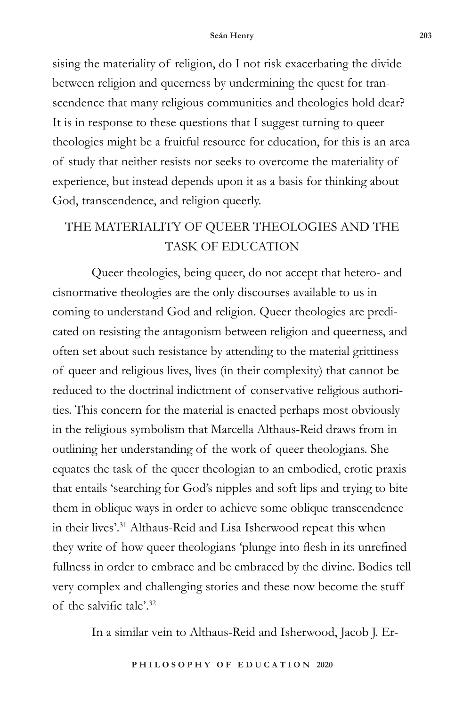sising the materiality of religion, do I not risk exacerbating the divide between religion and queerness by undermining the quest for transcendence that many religious communities and theologies hold dear? It is in response to these questions that I suggest turning to queer theologies might be a fruitful resource for education, for this is an area of study that neither resists nor seeks to overcome the materiality of experience, but instead depends upon it as a basis for thinking about God, transcendence, and religion queerly.

## THE MATERIALITY OF QUEER THEOLOGIES AND THE TASK OF EDUCATION

Queer theologies, being queer, do not accept that hetero- and cisnormative theologies are the only discourses available to us in coming to understand God and religion. Queer theologies are predicated on resisting the antagonism between religion and queerness, and often set about such resistance by attending to the material grittiness of queer and religious lives, lives (in their complexity) that cannot be reduced to the doctrinal indictment of conservative religious authorities. This concern for the material is enacted perhaps most obviously in the religious symbolism that Marcella Althaus-Reid draws from in outlining her understanding of the work of queer theologians. She equates the task of the queer theologian to an embodied, erotic praxis that entails 'searching for God's nipples and soft lips and trying to bite them in oblique ways in order to achieve some oblique transcendence in their lives'.<sup>31</sup> Althaus-Reid and Lisa Isherwood repeat this when they write of how queer theologians 'plunge into flesh in its unrefined fullness in order to embrace and be embraced by the divine. Bodies tell very complex and challenging stories and these now become the stuff of the salvific tale'.32

In a similar vein to Althaus-Reid and Isherwood, Jacob J. Er-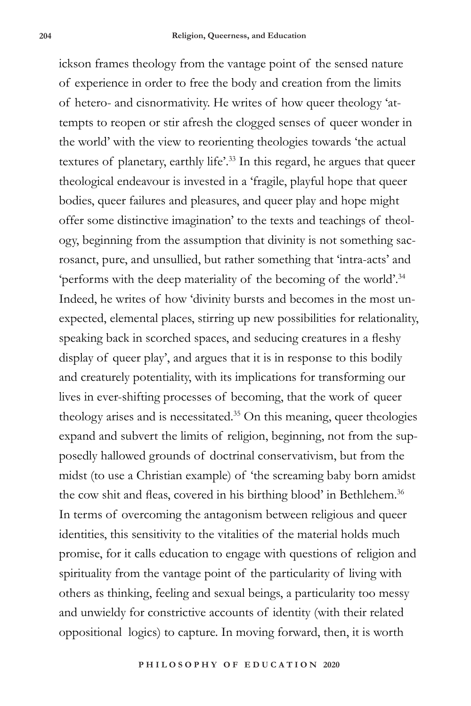ickson frames theology from the vantage point of the sensed nature of experience in order to free the body and creation from the limits of hetero- and cisnormativity. He writes of how queer theology 'attempts to reopen or stir afresh the clogged senses of queer wonder in the world' with the view to reorienting theologies towards 'the actual textures of planetary, earthly life'.33 In this regard, he argues that queer theological endeavour is invested in a 'fragile, playful hope that queer bodies, queer failures and pleasures, and queer play and hope might offer some distinctive imagination' to the texts and teachings of theology, beginning from the assumption that divinity is not something sacrosanct, pure, and unsullied, but rather something that 'intra-acts' and 'performs with the deep materiality of the becoming of the world'.34 Indeed, he writes of how 'divinity bursts and becomes in the most unexpected, elemental places, stirring up new possibilities for relationality, speaking back in scorched spaces, and seducing creatures in a fleshy display of queer play', and argues that it is in response to this bodily and creaturely potentiality, with its implications for transforming our lives in ever-shifting processes of becoming, that the work of queer theology arises and is necessitated.35 On this meaning, queer theologies expand and subvert the limits of religion, beginning, not from the supposedly hallowed grounds of doctrinal conservativism, but from the midst (to use a Christian example) of 'the screaming baby born amidst the cow shit and fleas, covered in his birthing blood' in Bethlehem.<sup>36</sup> In terms of overcoming the antagonism between religious and queer identities, this sensitivity to the vitalities of the material holds much promise, for it calls education to engage with questions of religion and spirituality from the vantage point of the particularity of living with others as thinking, feeling and sexual beings, a particularity too messy and unwieldy for constrictive accounts of identity (with their related oppositional logics) to capture. In moving forward, then, it is worth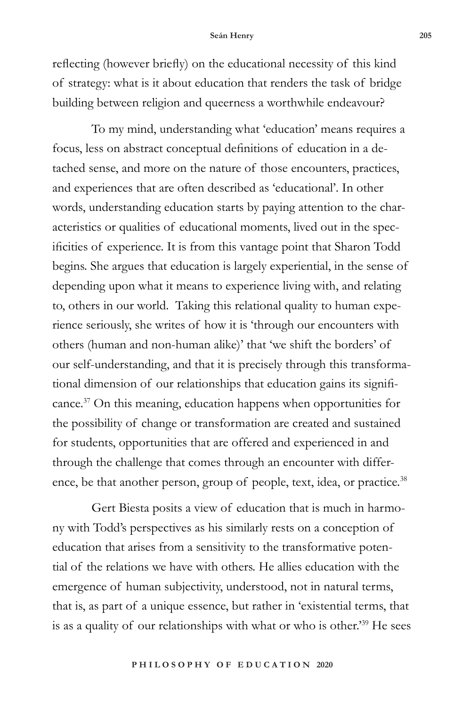#### **Seán Henry 205**

reflecting (however briefly) on the educational necessity of this kind of strategy: what is it about education that renders the task of bridge building between religion and queerness a worthwhile endeavour?

To my mind, understanding what 'education' means requires a focus, less on abstract conceptual definitions of education in a detached sense, and more on the nature of those encounters, practices, and experiences that are often described as 'educational'. In other words, understanding education starts by paying attention to the characteristics or qualities of educational moments, lived out in the specificities of experience. It is from this vantage point that Sharon Todd begins. She argues that education is largely experiential, in the sense of depending upon what it means to experience living with, and relating to, others in our world. Taking this relational quality to human experience seriously, she writes of how it is 'through our encounters with others (human and non-human alike)' that 'we shift the borders' of our self-understanding, and that it is precisely through this transformational dimension of our relationships that education gains its significance.37 On this meaning, education happens when opportunities for the possibility of change or transformation are created and sustained for students, opportunities that are offered and experienced in and through the challenge that comes through an encounter with difference, be that another person, group of people, text, idea, or practice.<sup>38</sup>

Gert Biesta posits a view of education that is much in harmony with Todd's perspectives as his similarly rests on a conception of education that arises from a sensitivity to the transformative potential of the relations we have with others. He allies education with the emergence of human subjectivity, understood, not in natural terms, that is, as part of a unique essence, but rather in 'existential terms, that is as a quality of our relationships with what or who is other.'39 He sees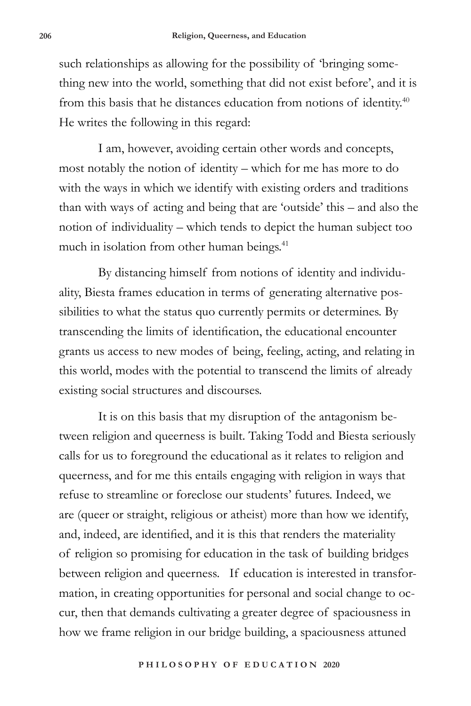such relationships as allowing for the possibility of 'bringing something new into the world, something that did not exist before', and it is from this basis that he distances education from notions of identity.40 He writes the following in this regard:

I am, however, avoiding certain other words and concepts, most notably the notion of identity – which for me has more to do with the ways in which we identify with existing orders and traditions than with ways of acting and being that are 'outside' this – and also the notion of individuality – which tends to depict the human subject too much in isolation from other human beings.<sup>41</sup>

By distancing himself from notions of identity and individuality, Biesta frames education in terms of generating alternative possibilities to what the status quo currently permits or determines. By transcending the limits of identification, the educational encounter grants us access to new modes of being, feeling, acting, and relating in this world, modes with the potential to transcend the limits of already existing social structures and discourses.

It is on this basis that my disruption of the antagonism between religion and queerness is built. Taking Todd and Biesta seriously calls for us to foreground the educational as it relates to religion and queerness, and for me this entails engaging with religion in ways that refuse to streamline or foreclose our students' futures. Indeed, we are (queer or straight, religious or atheist) more than how we identify, and, indeed, are identified, and it is this that renders the materiality of religion so promising for education in the task of building bridges between religion and queerness. If education is interested in transformation, in creating opportunities for personal and social change to occur, then that demands cultivating a greater degree of spaciousness in how we frame religion in our bridge building, a spaciousness attuned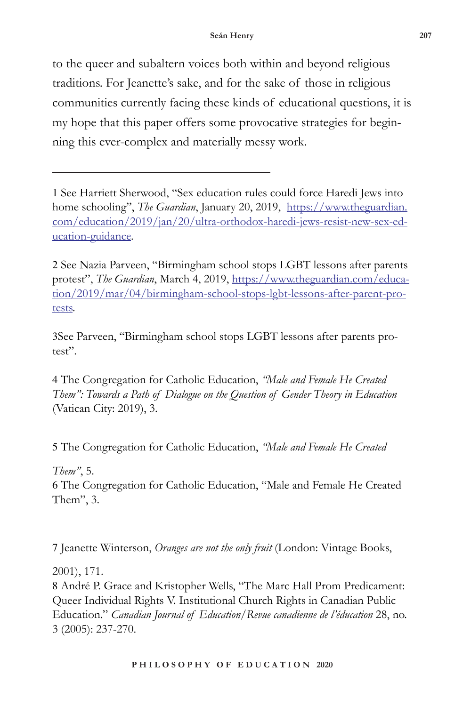to the queer and subaltern voices both within and beyond religious traditions. For Jeanette's sake, and for the sake of those in religious communities currently facing these kinds of educational questions, it is my hope that this paper offers some provocative strategies for beginning this ever-complex and materially messy work.

2 See Nazia Parveen, "Birmingham school stops LGBT lessons after parents protest", *The Guardian*, March 4, 2019, https://www.theguardian.com/education/2019/mar/04/birmingham-school-stops-lgbt-lessons-after-parent-protests.

3See Parveen, "Birmingham school stops LGBT lessons after parents protest".

4 The Congregation for Catholic Education, *"Male and Female He Created Them": Towards a Path of Dialogue on the Question of Gender Theory in Education*  (Vatican City: 2019), 3.

5 The Congregation for Catholic Education, *"Male and Female He Created* 

*Them"*, 5.

6 The Congregation for Catholic Education, "Male and Female He Created Them", 3.

7 Jeanette Winterson, *Oranges are not the only fruit* (London: Vintage Books,

2001), 171.

8 André P. Grace and Kristopher Wells, "The Marc Hall Prom Predicament: Queer Individual Rights V. Institutional Church Rights in Canadian Public Education." *Canadian Journal of Education/Revue canadienne de l'éducation* 28, no. 3 (2005): 237-270.

<sup>1</sup> See Harriett Sherwood, "Sex education rules could force Haredi Jews into home schooling", *The Guardian*, January 20, 2019, https://www.theguardian. com/education/2019/jan/20/ultra-orthodox-haredi-jews-resist-new-sex-education-guidance.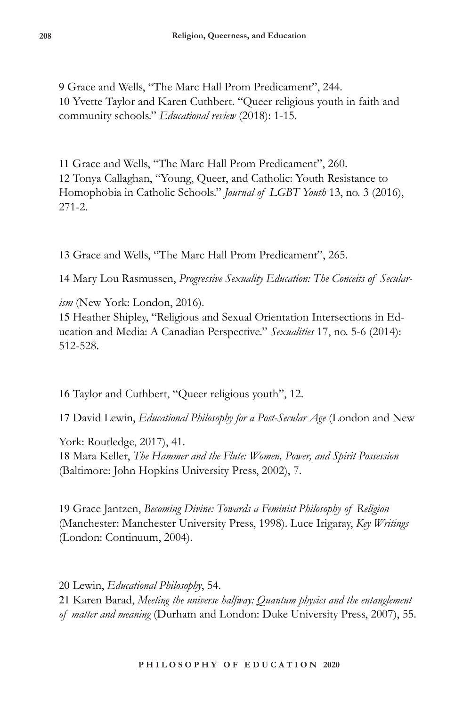9 Grace and Wells, "The Marc Hall Prom Predicament", 244. 10 Yvette Taylor and Karen Cuthbert. "Queer religious youth in faith and community schools." *Educational review* (2018): 1-15.

11 Grace and Wells, "The Marc Hall Prom Predicament", 260. 12 Tonya Callaghan, "Young, Queer, and Catholic: Youth Resistance to Homophobia in Catholic Schools." *Journal of LGBT Youth* 13, no. 3 (2016), 271-2.

13 Grace and Wells, "The Marc Hall Prom Predicament", 265.

14 Mary Lou Rasmussen, *Progressive Sexuality Education: The Conceits of Secular-*

*ism* (New York: London, 2016). 15 Heather Shipley, "Religious and Sexual Orientation Intersections in Education and Media: A Canadian Perspective." *Sexualities* 17, no. 5-6 (2014): 512-528.

16 Taylor and Cuthbert, "Queer religious youth", 12.

17 David Lewin, *Educational Philosophy for a Post-Secular Age* (London and New

York: Routledge, 2017), 41. 18 Mara Keller, *The Hammer and the Flute: Women, Power, and Spirit Possession*  (Baltimore: John Hopkins University Press, 2002), 7.

19 Grace Jantzen, *Becoming Divine: Towards a Feminist Philosophy of Religion*  (Manchester: Manchester University Press, 1998). Luce Irigaray, *Key Writings*  (London: Continuum, 2004).

20 Lewin, *Educational Philosophy*, 54.

21 Karen Barad, *Meeting the universe halfway: Quantum physics and the entanglement of matter and meaning* (Durham and London: Duke University Press, 2007), 55.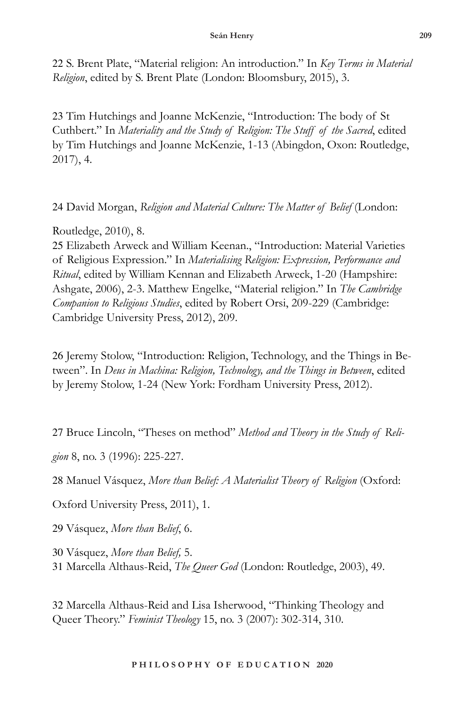22 S. Brent Plate, "Material religion: An introduction." In *Key Terms in Material Religion*, edited by S. Brent Plate (London: Bloomsbury, 2015), 3.

23 Tim Hutchings and Joanne McKenzie, "Introduction: The body of St Cuthbert." In *Materiality and the Study of Religion: The Stuff of the Sacred*, edited by Tim Hutchings and Joanne McKenzie, 1-13 (Abingdon, Oxon: Routledge, 2017), 4.

24 David Morgan, *Religion and Material Culture: The Matter of Belief* (London:

Routledge, 2010), 8.

25 Elizabeth Arweck and William Keenan., "Introduction: Material Varieties of Religious Expression." In *Materialising Religion: Expression, Performance and Ritual*, edited by William Kennan and Elizabeth Arweck, 1-20 (Hampshire: Ashgate, 2006), 2-3. Matthew Engelke, "Material religion." In *The Cambridge Companion to Religious Studies*, edited by Robert Orsi, 209-229 (Cambridge: Cambridge University Press, 2012), 209.

26 Jeremy Stolow, "Introduction: Religion, Technology, and the Things in Between". In *Deus in Machina: Religion, Technology, and the Things in Between*, edited by Jeremy Stolow, 1-24 (New York: Fordham University Press, 2012).

27 Bruce Lincoln, "Theses on method" *Method and Theory in the Study of Reli-*

*gion* 8, no. 3 (1996): 225-227.

28 Manuel Vásquez, *More than Belief: A Materialist Theory of Religion* (Oxford:

Oxford University Press, 2011), 1.

29 Vásquez, *More than Belief*, 6.

30 Vásquez, *More than Belief,* 5.

31 Marcella Althaus-Reid, *The Queer God* (London: Routledge, 2003), 49.

32 Marcella Althaus-Reid and Lisa Isherwood, "Thinking Theology and Queer Theory." *Feminist Theology* 15, no. 3 (2007): 302-314, 310.